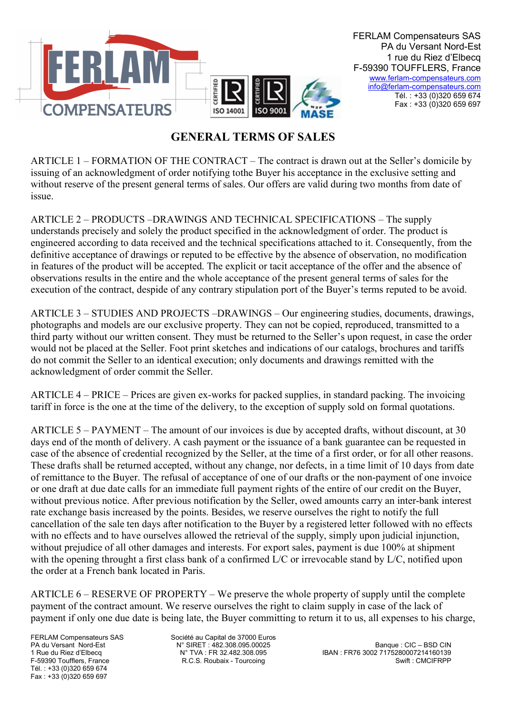

## GENERAL TERMS OF SALES

ARTICLE 1 – FORMATION OF THE CONTRACT – The contract is drawn out at the Seller's domicile by issuing of an acknowledgment of order notifying tothe Buyer his acceptance in the exclusive setting and without reserve of the present general terms of sales. Our offers are valid during two months from date of issue.

ARTICLE 2 – PRODUCTS –DRAWINGS AND TECHNICAL SPECIFICATIONS – The supply understands precisely and solely the product specified in the acknowledgment of order. The product is engineered according to data received and the technical specifications attached to it. Consequently, from the definitive acceptance of drawings or reputed to be effective by the absence of observation, no modification in features of the product will be accepted. The explicit or tacit acceptance of the offer and the absence of observations results in the entire and the whole acceptance of the present general terms of sales for the execution of the contract, despide of any contrary stipulation port of the Buyer's terms reputed to be avoid.

ARTICLE 3 – STUDIES AND PROJECTS –DRAWINGS – Our engineering studies, documents, drawings, photographs and models are our exclusive property. They can not be copied, reproduced, transmitted to a third party without our written consent. They must be returned to the Seller's upon request, in case the order would not be placed at the Seller. Foot print sketches and indications of our catalogs, brochures and tariffs do not commit the Seller to an identical execution; only documents and drawings remitted with the acknowledgment of order commit the Seller.

ARTICLE 4 – PRICE – Prices are given ex-works for packed supplies, in standard packing. The invoicing tariff in force is the one at the time of the delivery, to the exception of supply sold on formal quotations.

ARTICLE 5 – PAYMENT – The amount of our invoices is due by accepted drafts, without discount, at 30 days end of the month of delivery. A cash payment or the issuance of a bank guarantee can be requested in case of the absence of credential recognized by the Seller, at the time of a first order, or for all other reasons. These drafts shall be returned accepted, without any change, nor defects, in a time limit of 10 days from date of remittance to the Buyer. The refusal of acceptance of one of our drafts or the non-payment of one invoice or one draft at due date calls for an immediate full payment rights of the entire of our credit on the Buyer, without previous notice. After previous notification by the Seller, owed amounts carry an inter-bank interest rate exchange basis increased by the points. Besides, we reserve ourselves the right to notify the full cancellation of the sale ten days after notification to the Buyer by a registered letter followed with no effects with no effects and to have ourselves allowed the retrieval of the supply, simply upon judicial injunction, without prejudice of all other damages and interests. For export sales, payment is due 100% at shipment with the opening throught a first class bank of a confirmed L/C or irrevocable stand by L/C, notified upon the order at a French bank located in Paris.

ARTICLE 6 – RESERVE OF PROPERTY – We preserve the whole property of supply until the complete payment of the contract amount. We reserve ourselves the right to claim supply in case of the lack of payment if only one due date is being late, the Buyer committing to return it to us, all expenses to his charge,

Tél. : +33 (0)320 659 674 Fax : +33 (0)320 659 697

FERLAM Compensateurs SAS Société au Capital de 37000 Euros

PA du Versant Nord-Est N° SIRET : 482.308.095.00025 Banque : CIC – BSD CIN 1 Rue du Riez d'Elbecq N° TVA : FR 32.482.308.095 IBAN : FR76 3002 7175280007214160139 F.C.S. Roubaix - Tourcoing Swift : CMCIFRPP Swift : CMCIFRPP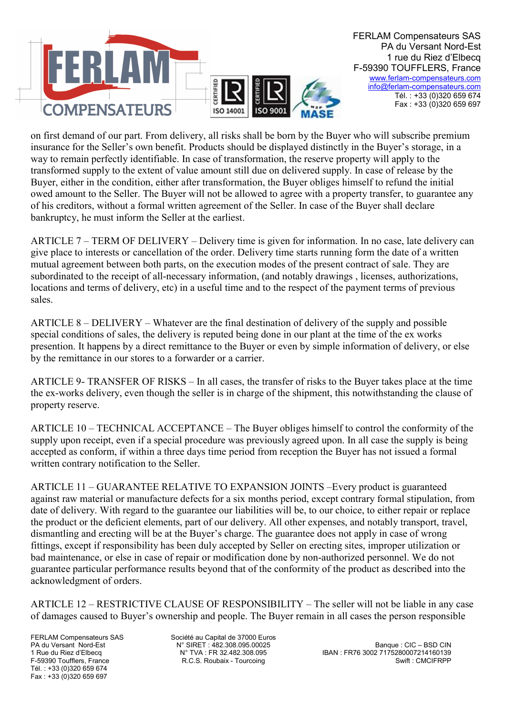

on first demand of our part. From delivery, all risks shall be born by the Buyer who will subscribe premium insurance for the Seller's own benefit. Products should be displayed distinctly in the Buyer's storage, in a way to remain perfectly identifiable. In case of transformation, the reserve property will apply to the transformed supply to the extent of value amount still due on delivered supply. In case of release by the Buyer, either in the condition, either after transformation, the Buyer obliges himself to refund the initial owed amount to the Seller. The Buyer will not be allowed to agree with a property transfer, to guarantee any of his creditors, without a formal written agreement of the Seller. In case of the Buyer shall declare bankruptcy, he must inform the Seller at the earliest.

ARTICLE 7 – TERM OF DELIVERY – Delivery time is given for information. In no case, late delivery can give place to interests or cancellation of the order. Delivery time starts running form the date of a written mutual agreement between both parts, on the execution modes of the present contract of sale. They are subordinated to the receipt of all-necessary information, (and notably drawings , licenses, authorizations, locations and terms of delivery, etc) in a useful time and to the respect of the payment terms of previous sales.

ARTICLE 8 – DELIVERY – Whatever are the final destination of delivery of the supply and possible special conditions of sales, the delivery is reputed being done in our plant at the time of the ex works presention. It happens by a direct remittance to the Buyer or even by simple information of delivery, or else by the remittance in our stores to a forwarder or a carrier.

ARTICLE 9- TRANSFER OF RISKS – In all cases, the transfer of risks to the Buyer takes place at the time the ex-works delivery, even though the seller is in charge of the shipment, this notwithstanding the clause of property reserve.

ARTICLE 10 – TECHNICAL ACCEPTANCE – The Buyer obliges himself to control the conformity of the supply upon receipt, even if a special procedure was previously agreed upon. In all case the supply is being accepted as conform, if within a three days time period from reception the Buyer has not issued a formal written contrary notification to the Seller.

ARTICLE 11 – GUARANTEE RELATIVE TO EXPANSION JOINTS –Every product is guaranteed against raw material or manufacture defects for a six months period, except contrary formal stipulation, from date of delivery. With regard to the guarantee our liabilities will be, to our choice, to either repair or replace the product or the deficient elements, part of our delivery. All other expenses, and notably transport, travel, dismantling and erecting will be at the Buyer's charge. The guarantee does not apply in case of wrong fittings, except if responsibility has been duly accepted by Seller on erecting sites, improper utilization or bad maintenance, or else in case of repair or modification done by non-authorized personnel. We do not guarantee particular performance results beyond that of the conformity of the product as described into the acknowledgment of orders.

ARTICLE 12 – RESTRICTIVE CLAUSE OF RESPONSIBILITY – The seller will not be liable in any case of damages caused to Buyer's ownership and people. The Buyer remain in all cases the person responsible

Tél. : +33 (0)320 659 674 Fax : +33 (0)320 659 697

FERLAM Compensateurs SAS Société au Capital de 37000 Euros

PA du Versant Nord-Est N° SIRET : 482.308.095.00025 Banque : CIC – BSD CIN 1 Rue du Riez d'Elbecq N° TVA : FR 32.482.308.095 IBAN : FR76 3002 7175280007214160139 F.C.S. Roubaix - Tourcoing Swift : CMCIFRPP Swift : CMCIFRPP